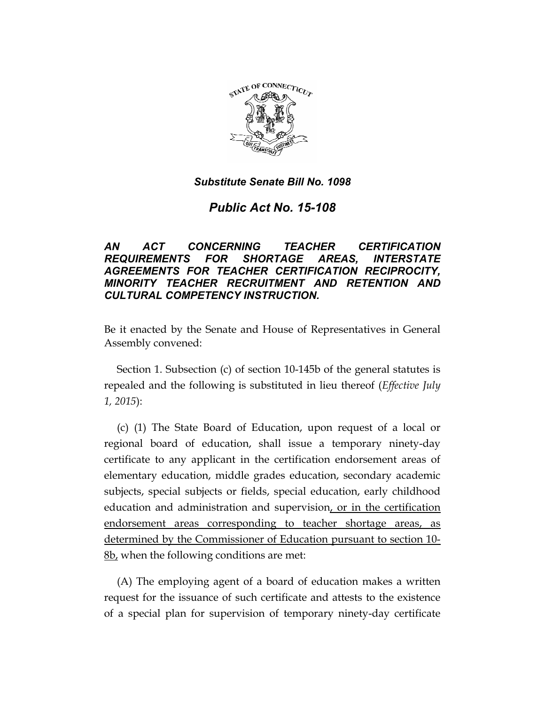

*Public Act No. 15-108* 

# *AN ACT CONCERNING TEACHER CERTIFICATION REQUIREMENTS FOR SHORTAGE AREAS, INTERSTATE AGREEMENTS FOR TEACHER CERTIFICATION RECIPROCITY, MINORITY TEACHER RECRUITMENT AND RETENTION AND CULTURAL COMPETENCY INSTRUCTION.*

Be it enacted by the Senate and House of Representatives in General Assembly convened:

Section 1. Subsection (c) of section 10-145b of the general statutes is repealed and the following is substituted in lieu thereof (*Effective July 1, 2015*):

(c) (1) The State Board of Education, upon request of a local or regional board of education, shall issue a temporary ninety-day certificate to any applicant in the certification endorsement areas of elementary education, middle grades education, secondary academic subjects, special subjects or fields, special education, early childhood education and administration and supervision, or in the certification endorsement areas corresponding to teacher shortage areas, as determined by the Commissioner of Education pursuant to section 10- 8b, when the following conditions are met:

(A) The employing agent of a board of education makes a written request for the issuance of such certificate and attests to the existence of a special plan for supervision of temporary ninety-day certificate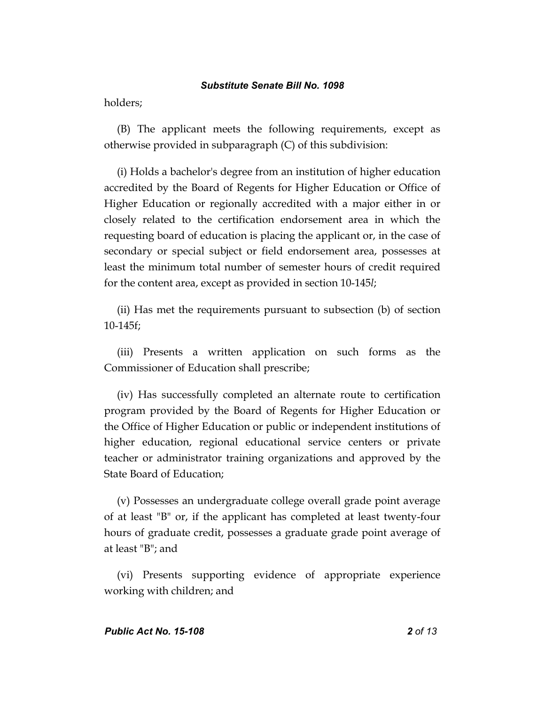holders;

(B) The applicant meets the following requirements, except as otherwise provided in subparagraph (C) of this subdivision:

(i) Holds a bachelor's degree from an institution of higher education accredited by the Board of Regents for Higher Education or Office of Higher Education or regionally accredited with a major either in or closely related to the certification endorsement area in which the requesting board of education is placing the applicant or, in the case of secondary or special subject or field endorsement area, possesses at least the minimum total number of semester hours of credit required for the content area, except as provided in section 10-145*l*;

(ii) Has met the requirements pursuant to subsection (b) of section 10-145f;

(iii) Presents a written application on such forms as the Commissioner of Education shall prescribe;

(iv) Has successfully completed an alternate route to certification program provided by the Board of Regents for Higher Education or the Office of Higher Education or public or independent institutions of higher education, regional educational service centers or private teacher or administrator training organizations and approved by the State Board of Education;

(v) Possesses an undergraduate college overall grade point average of at least "B" or, if the applicant has completed at least twenty-four hours of graduate credit, possesses a graduate grade point average of at least "B"; and

(vi) Presents supporting evidence of appropriate experience working with children; and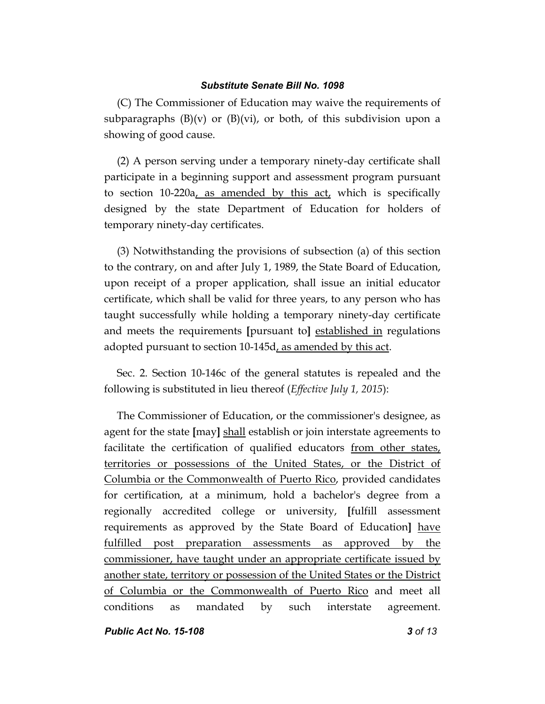(C) The Commissioner of Education may waive the requirements of subparagraphs  $(B)(v)$  or  $(B)(vi)$ , or both, of this subdivision upon a showing of good cause.

(2) A person serving under a temporary ninety-day certificate shall participate in a beginning support and assessment program pursuant to section 10-220a, as amended by this act, which is specifically designed by the state Department of Education for holders of temporary ninety-day certificates.

(3) Notwithstanding the provisions of subsection (a) of this section to the contrary, on and after July 1, 1989, the State Board of Education, upon receipt of a proper application, shall issue an initial educator certificate, which shall be valid for three years, to any person who has taught successfully while holding a temporary ninety-day certificate and meets the requirements **[**pursuant to**]** established in regulations adopted pursuant to section  $10-145d$ , as amended by this act.

Sec. 2. Section 10-146c of the general statutes is repealed and the following is substituted in lieu thereof (*Effective July 1, 2015*):

The Commissioner of Education, or the commissioner's designee, as agent for the state **[**may**]** shall establish or join interstate agreements to facilitate the certification of qualified educators from other states, territories or possessions of the United States, or the District of Columbia or the Commonwealth of Puerto Rico, provided candidates for certification, at a minimum, hold a bachelor's degree from a regionally accredited college or university, **[**fulfill assessment requirements as approved by the State Board of Education**]** have fulfilled post preparation assessments as approved by the commissioner, have taught under an appropriate certificate issued by another state, territory or possession of the United States or the District of Columbia or the Commonwealth of Puerto Rico and meet all conditions as mandated by such interstate agreement.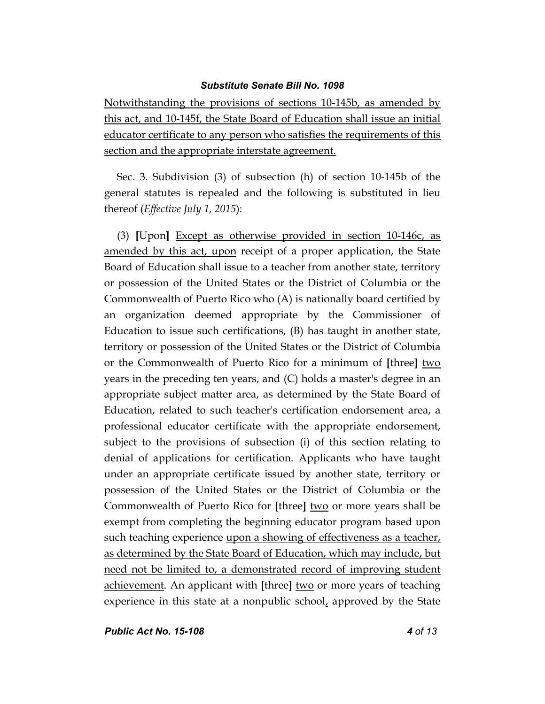Notwithstanding the provisions of sections 10-145b, as amended by this act, and 10-145f, the State Board of Education shall issue an initial educator certificate to any person who satisfies the requirements of this section and the appropriate interstate agreement.

Sec. 3. Subdivision (3) of subsection (h) of section 10-145b of the general statutes is repealed and the following is substituted in lieu thereof (*Effective July 1, 2015*):

(3) **[**Upon**]** Except as otherwise provided in section 10-146c, as amended by this act, upon receipt of a proper application, the State Board of Education shall issue to a teacher from another state, territory or possession of the United States or the District of Columbia or the Commonwealth of Puerto Rico who (A) is nationally board certified by an organization deemed appropriate by the Commissioner of Education to issue such certifications, (B) has taught in another state, territory or possession of the United States or the District of Columbia or the Commonwealth of Puerto Rico for a minimum of **[**three**]** two years in the preceding ten years, and (C) holds a master's degree in an appropriate subject matter area, as determined by the State Board of Education, related to such teacher's certification endorsement area, a professional educator certificate with the appropriate endorsement, subject to the provisions of subsection (i) of this section relating to denial of applications for certification. Applicants who have taught under an appropriate certificate issued by another state, territory or possession of the United States or the District of Columbia or the Commonwealth of Puerto Rico for **[**three**]** two or more years shall be exempt from completing the beginning educator program based upon such teaching experience upon a showing of effectiveness as a teacher, as determined by the State Board of Education, which may include, but need not be limited to, a demonstrated record of improving student achievement. An applicant with **[**three**]** two or more years of teaching experience in this state at a nonpublic school, approved by the State

*Public Act No. 15-108 4 of 13*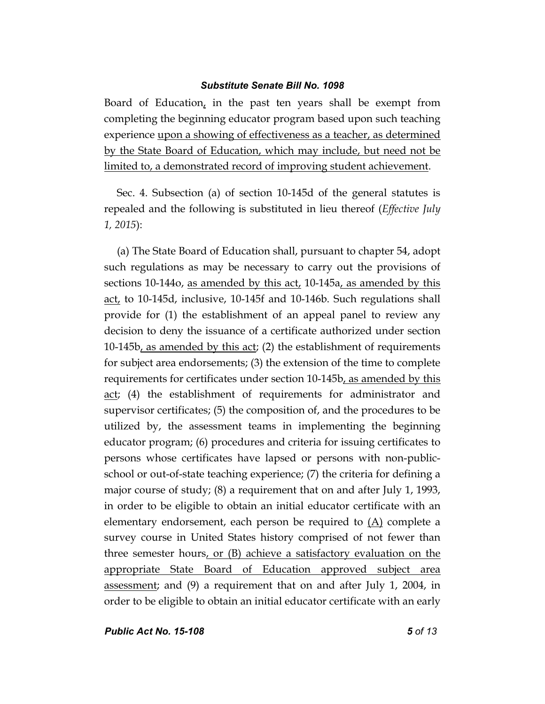Board of Education, in the past ten years shall be exempt from completing the beginning educator program based upon such teaching experience upon a showing of effectiveness as a teacher, as determined by the State Board of Education, which may include, but need not be limited to, a demonstrated record of improving student achievement.

Sec. 4. Subsection (a) of section 10-145d of the general statutes is repealed and the following is substituted in lieu thereof (*Effective July 1, 2015*):

(a) The State Board of Education shall, pursuant to chapter 54, adopt such regulations as may be necessary to carry out the provisions of sections 10-144o, as amended by this act, 10-145a, as amended by this act, to 10-145d, inclusive, 10-145f and 10-146b. Such regulations shall provide for (1) the establishment of an appeal panel to review any decision to deny the issuance of a certificate authorized under section 10-145b, as amended by this act; (2) the establishment of requirements for subject area endorsements; (3) the extension of the time to complete requirements for certificates under section 10-145b, as amended by this act; (4) the establishment of requirements for administrator and supervisor certificates; (5) the composition of, and the procedures to be utilized by, the assessment teams in implementing the beginning educator program; (6) procedures and criteria for issuing certificates to persons whose certificates have lapsed or persons with non-publicschool or out-of-state teaching experience; (7) the criteria for defining a major course of study; (8) a requirement that on and after July 1, 1993, in order to be eligible to obtain an initial educator certificate with an elementary endorsement, each person be required to  $(A)$  complete a survey course in United States history comprised of not fewer than three semester hours, or (B) achieve a satisfactory evaluation on the appropriate State Board of Education approved subject area assessment; and (9) a requirement that on and after July 1, 2004, in order to be eligible to obtain an initial educator certificate with an early

*Public Act No. 15-108 5 of 13*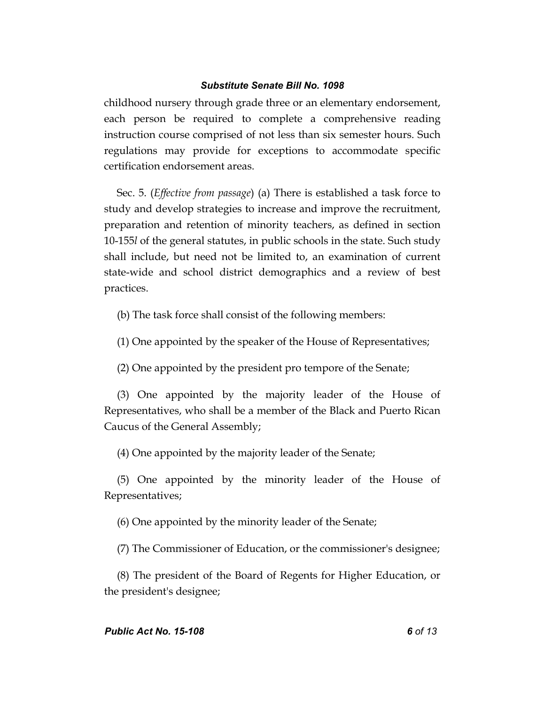childhood nursery through grade three or an elementary endorsement, each person be required to complete a comprehensive reading instruction course comprised of not less than six semester hours. Such regulations may provide for exceptions to accommodate specific certification endorsement areas.

Sec. 5. (*Effective from passage*) (a) There is established a task force to study and develop strategies to increase and improve the recruitment, preparation and retention of minority teachers, as defined in section 10-155*l* of the general statutes, in public schools in the state. Such study shall include, but need not be limited to, an examination of current state-wide and school district demographics and a review of best practices.

(b) The task force shall consist of the following members:

(1) One appointed by the speaker of the House of Representatives;

(2) One appointed by the president pro tempore of the Senate;

(3) One appointed by the majority leader of the House of Representatives, who shall be a member of the Black and Puerto Rican Caucus of the General Assembly;

(4) One appointed by the majority leader of the Senate;

(5) One appointed by the minority leader of the House of Representatives;

(6) One appointed by the minority leader of the Senate;

(7) The Commissioner of Education, or the commissioner's designee;

(8) The president of the Board of Regents for Higher Education, or the president's designee;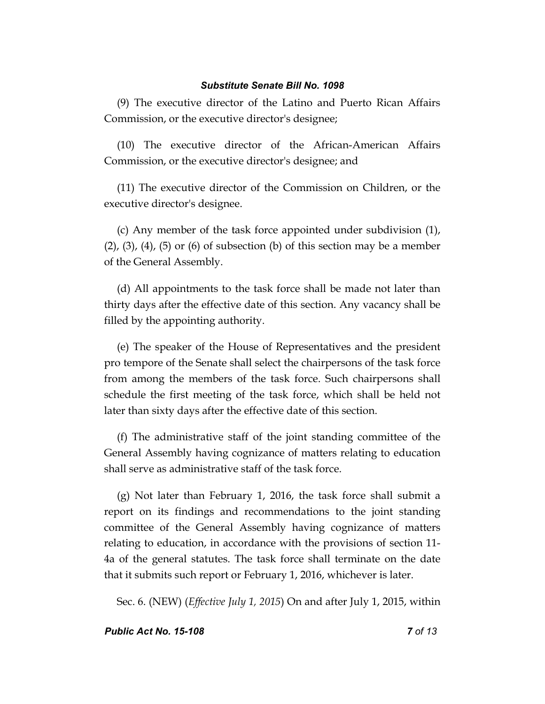(9) The executive director of the Latino and Puerto Rican Affairs Commission, or the executive director's designee;

(10) The executive director of the African-American Affairs Commission, or the executive director's designee; and

(11) The executive director of the Commission on Children, or the executive director's designee.

(c) Any member of the task force appointed under subdivision (1),  $(2)$ ,  $(3)$ ,  $(4)$ ,  $(5)$  or  $(6)$  of subsection  $(b)$  of this section may be a member of the General Assembly.

(d) All appointments to the task force shall be made not later than thirty days after the effective date of this section. Any vacancy shall be filled by the appointing authority.

(e) The speaker of the House of Representatives and the president pro tempore of the Senate shall select the chairpersons of the task force from among the members of the task force. Such chairpersons shall schedule the first meeting of the task force, which shall be held not later than sixty days after the effective date of this section.

(f) The administrative staff of the joint standing committee of the General Assembly having cognizance of matters relating to education shall serve as administrative staff of the task force.

(g) Not later than February 1, 2016, the task force shall submit a report on its findings and recommendations to the joint standing committee of the General Assembly having cognizance of matters relating to education, in accordance with the provisions of section 11- 4a of the general statutes. The task force shall terminate on the date that it submits such report or February 1, 2016, whichever is later.

Sec. 6. (NEW) (*Effective July 1, 2015*) On and after July 1, 2015, within

#### *Public Act No. 15-108 7 of 13*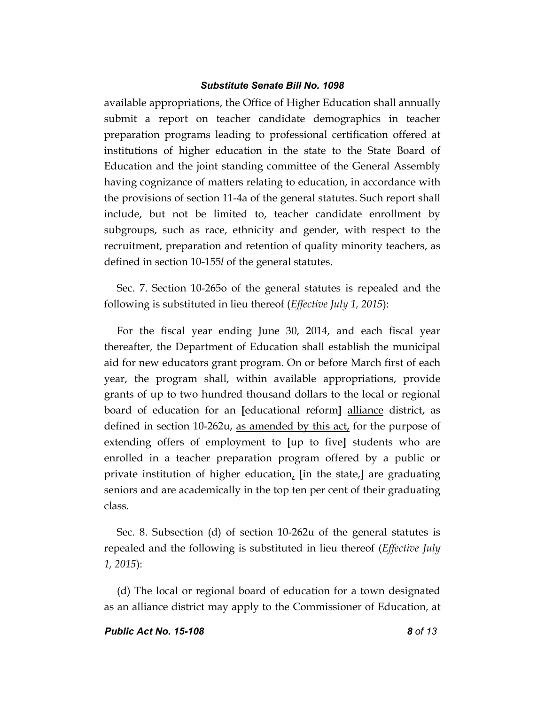available appropriations, the Office of Higher Education shall annually submit a report on teacher candidate demographics in teacher preparation programs leading to professional certification offered at institutions of higher education in the state to the State Board of Education and the joint standing committee of the General Assembly having cognizance of matters relating to education, in accordance with the provisions of section 11-4a of the general statutes. Such report shall include, but not be limited to, teacher candidate enrollment by subgroups, such as race, ethnicity and gender, with respect to the recruitment, preparation and retention of quality minority teachers, as defined in section 10-155*l* of the general statutes.

Sec. 7. Section 10-265o of the general statutes is repealed and the following is substituted in lieu thereof (*Effective July 1, 2015*):

For the fiscal year ending June 30, 2014, and each fiscal year thereafter, the Department of Education shall establish the municipal aid for new educators grant program. On or before March first of each year, the program shall, within available appropriations, provide grants of up to two hundred thousand dollars to the local or regional board of education for an **[**educational reform**]** alliance district, as defined in section 10-262u, as amended by this act, for the purpose of extending offers of employment to **[**up to five**]** students who are enrolled in a teacher preparation program offered by a public or private institution of higher education, **[**in the state,**]** are graduating seniors and are academically in the top ten per cent of their graduating class.

Sec. 8. Subsection (d) of section 10-262u of the general statutes is repealed and the following is substituted in lieu thereof (*Effective July 1, 2015*):

(d) The local or regional board of education for a town designated as an alliance district may apply to the Commissioner of Education, at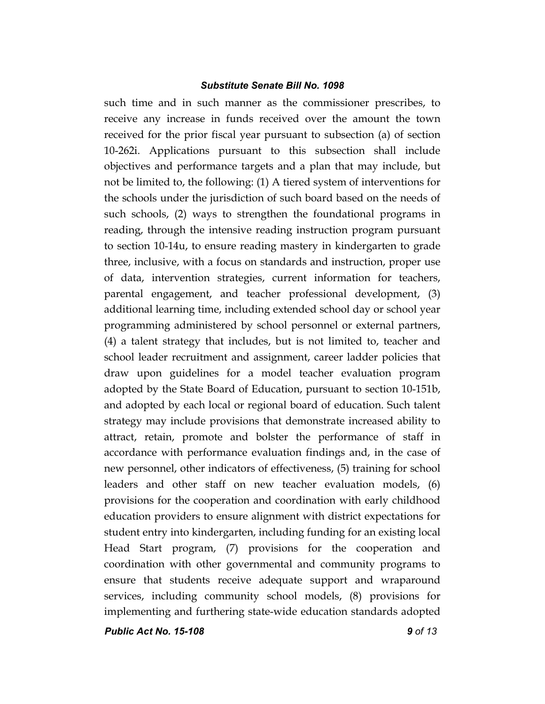such time and in such manner as the commissioner prescribes, to receive any increase in funds received over the amount the town received for the prior fiscal year pursuant to subsection (a) of section 10-262i. Applications pursuant to this subsection shall include objectives and performance targets and a plan that may include, but not be limited to, the following: (1) A tiered system of interventions for the schools under the jurisdiction of such board based on the needs of such schools, (2) ways to strengthen the foundational programs in reading, through the intensive reading instruction program pursuant to section 10-14u, to ensure reading mastery in kindergarten to grade three, inclusive, with a focus on standards and instruction, proper use of data, intervention strategies, current information for teachers, parental engagement, and teacher professional development, (3) additional learning time, including extended school day or school year programming administered by school personnel or external partners, (4) a talent strategy that includes, but is not limited to, teacher and school leader recruitment and assignment, career ladder policies that draw upon guidelines for a model teacher evaluation program adopted by the State Board of Education, pursuant to section 10-151b, and adopted by each local or regional board of education. Such talent strategy may include provisions that demonstrate increased ability to attract, retain, promote and bolster the performance of staff in accordance with performance evaluation findings and, in the case of new personnel, other indicators of effectiveness, (5) training for school leaders and other staff on new teacher evaluation models, (6) provisions for the cooperation and coordination with early childhood education providers to ensure alignment with district expectations for student entry into kindergarten, including funding for an existing local Head Start program, (7) provisions for the cooperation and coordination with other governmental and community programs to ensure that students receive adequate support and wraparound services, including community school models, (8) provisions for implementing and furthering state-wide education standards adopted

*Public Act No. 15-108 9 of 13*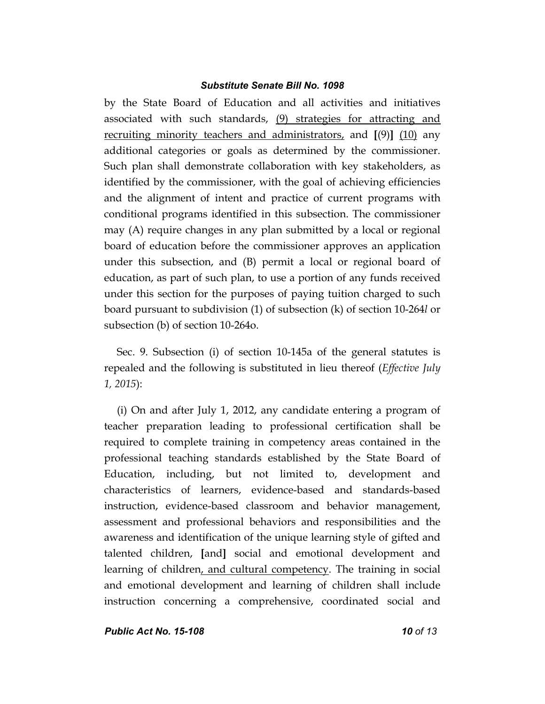by the State Board of Education and all activities and initiatives associated with such standards, (9) strategies for attracting and recruiting minority teachers and administrators, and **[**(9)**]** (10) any additional categories or goals as determined by the commissioner. Such plan shall demonstrate collaboration with key stakeholders, as identified by the commissioner, with the goal of achieving efficiencies and the alignment of intent and practice of current programs with conditional programs identified in this subsection. The commissioner may (A) require changes in any plan submitted by a local or regional board of education before the commissioner approves an application under this subsection, and (B) permit a local or regional board of education, as part of such plan, to use a portion of any funds received under this section for the purposes of paying tuition charged to such board pursuant to subdivision (1) of subsection (k) of section 10-264*l* or subsection (b) of section 10-264o.

Sec. 9. Subsection (i) of section 10-145a of the general statutes is repealed and the following is substituted in lieu thereof (*Effective July 1, 2015*):

(i) On and after July 1, 2012, any candidate entering a program of teacher preparation leading to professional certification shall be required to complete training in competency areas contained in the professional teaching standards established by the State Board of Education, including, but not limited to, development and characteristics of learners, evidence-based and standards-based instruction, evidence-based classroom and behavior management, assessment and professional behaviors and responsibilities and the awareness and identification of the unique learning style of gifted and talented children, **[**and**]** social and emotional development and learning of children, and cultural competency. The training in social and emotional development and learning of children shall include instruction concerning a comprehensive, coordinated social and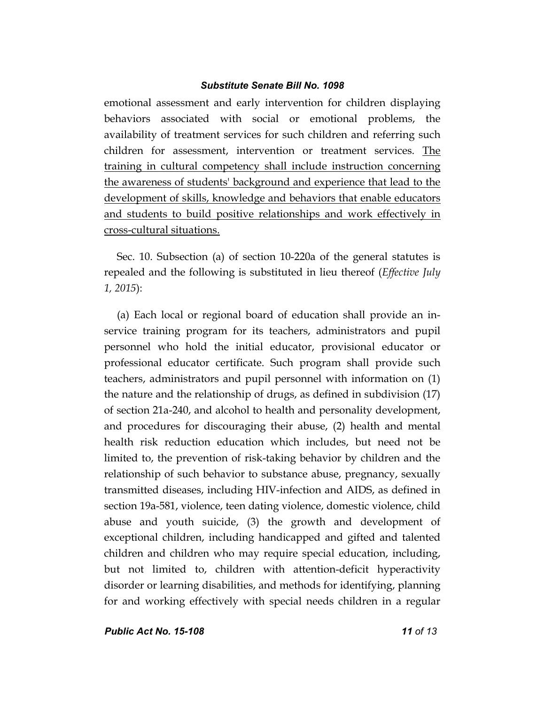emotional assessment and early intervention for children displaying behaviors associated with social or emotional problems, the availability of treatment services for such children and referring such children for assessment, intervention or treatment services. The training in cultural competency shall include instruction concerning the awareness of students' background and experience that lead to the development of skills, knowledge and behaviors that enable educators and students to build positive relationships and work effectively in cross-cultural situations.

Sec. 10. Subsection (a) of section 10-220a of the general statutes is repealed and the following is substituted in lieu thereof (*Effective July 1, 2015*):

(a) Each local or regional board of education shall provide an inservice training program for its teachers, administrators and pupil personnel who hold the initial educator, provisional educator or professional educator certificate. Such program shall provide such teachers, administrators and pupil personnel with information on (1) the nature and the relationship of drugs, as defined in subdivision (17) of section 21a-240, and alcohol to health and personality development, and procedures for discouraging their abuse, (2) health and mental health risk reduction education which includes, but need not be limited to, the prevention of risk-taking behavior by children and the relationship of such behavior to substance abuse, pregnancy, sexually transmitted diseases, including HIV-infection and AIDS, as defined in section 19a-581, violence, teen dating violence, domestic violence, child abuse and youth suicide, (3) the growth and development of exceptional children, including handicapped and gifted and talented children and children who may require special education, including, but not limited to, children with attention-deficit hyperactivity disorder or learning disabilities, and methods for identifying, planning for and working effectively with special needs children in a regular

*Public Act No. 15-108 11 of 13*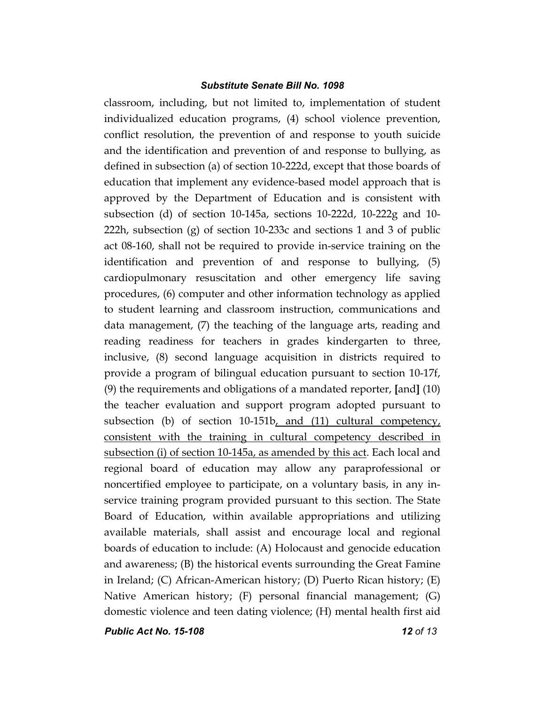classroom, including, but not limited to, implementation of student individualized education programs, (4) school violence prevention, conflict resolution, the prevention of and response to youth suicide and the identification and prevention of and response to bullying, as defined in subsection (a) of section 10-222d, except that those boards of education that implement any evidence-based model approach that is approved by the Department of Education and is consistent with subsection (d) of section 10-145a, sections 10-222d, 10-222g and 10- 222h, subsection (g) of section 10-233c and sections 1 and 3 of public act 08-160, shall not be required to provide in-service training on the identification and prevention of and response to bullying, (5) cardiopulmonary resuscitation and other emergency life saving procedures, (6) computer and other information technology as applied to student learning and classroom instruction, communications and data management, (7) the teaching of the language arts, reading and reading readiness for teachers in grades kindergarten to three, inclusive, (8) second language acquisition in districts required to provide a program of bilingual education pursuant to section 10-17f, (9) the requirements and obligations of a mandated reporter, **[**and**]** (10) the teacher evaluation and support program adopted pursuant to subsection (b) of section  $10-151b$ , and  $(11)$  cultural competency, consistent with the training in cultural competency described in subsection (i) of section 10-145a, as amended by this act. Each local and regional board of education may allow any paraprofessional or noncertified employee to participate, on a voluntary basis, in any inservice training program provided pursuant to this section. The State Board of Education, within available appropriations and utilizing available materials, shall assist and encourage local and regional boards of education to include: (A) Holocaust and genocide education and awareness; (B) the historical events surrounding the Great Famine in Ireland; (C) African-American history; (D) Puerto Rican history; (E) Native American history; (F) personal financial management; (G) domestic violence and teen dating violence; (H) mental health first aid

*Public Act No. 15-108 12 of 13*